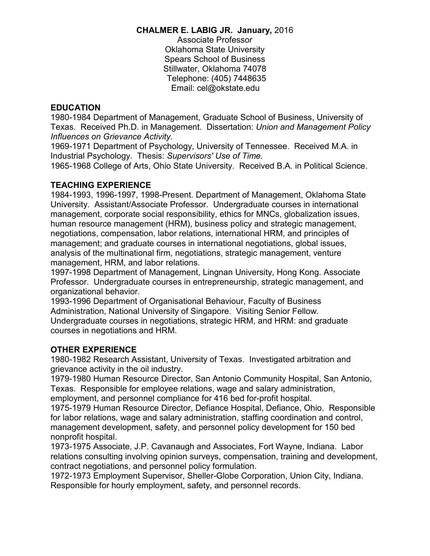#### **CHALMER E. LABIG JR. January,** 2016

Associate Professor Oklahoma State University Spears School of Business Stillwater, Oklahoma 74078 Telephone: (405) 7448635 Email: cel@okstate.edu

#### **EDUCATION**

1980-1984 Department of Management, Graduate School of Business, University of Texas. Received Ph.D. in Management. Dissertation: *Union and Management Policy Influences on Grievance Activity.*

1969-1971 Department of Psychology, University of Tennessee. Received M.A. in Industrial Psychology. Thesis: *Supervisors' Use of Time.*

1965-1968 College of Arts, Ohio State University. Received B.A. in Political Science.

#### **TEACHING EXPERIENCE**

1984-1993, 1996-1997, 1998-Present. Department of Management, Oklahoma State University. Assistant/Associate Professor. Undergraduate courses in international management, corporate social responsibility, ethics for MNCs, globalization issues, human resource management (HRM), business policy and strategic management, negotiations, compensation, labor relations, international HRM, and principles of management; and graduate courses in international negotiations, global issues, analysis of the multinational firm, negotiations, strategic management, venture management, HRM, and labor relations.

1997-1998 Department of Management, Lingnan University, Hong Kong. Associate Professor. Undergraduate courses in entrepreneurship, strategic management, and organizational behavior.

1993-1996 Department of Organisational Behaviour, Faculty of Business Administration, National University of Singapore. Visiting Senior Fellow. Undergraduate courses in negotiations, strategic HRM, and HRM: and graduate courses in negotiations and HRM.

## **OTHER EXPERIENCE**

1980-1982 Research Assistant, University of Texas. Investigated arbitration and grievance activity in the oil industry.

1979-1980 Human Resource Director, San Antonio Community Hospital, San Antonio, Texas. Responsible for employee relations, wage and salary administration, employment, and personnel compliance for 416 bed for-profit hospital.

1975-1979 Human Resource Director, Defiance Hospital, Defiance, Ohio. Responsible for labor relations, wage and salary administration, staffing coordination and control, management development, safety, and personnel policy development for 150 bed nonprofit hospital.

1973-1975 Associate, J.P. Cavanaugh and Associates, Fort Wayne, Indiana. Labor relations consulting involving opinion surveys, compensation, training and development, contract negotiations, and personnel policy formulation.

1972-1973 Employment Supervisor, Sheller-Globe Corporation, Union City, Indiana. Responsible for hourly employment, safety, and personnel records.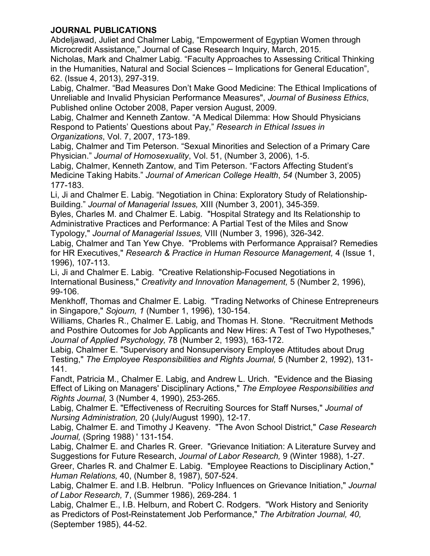# **JOURNAL PUBLICATIONS**

Abdeljawad, Juliet and Chalmer Labig, "Empowerment of Egyptian Women through Microcredit Assistance," Journal of Case Research Inquiry, March, 2015.

Nicholas, Mark and Chalmer Labig. "Faculty Approaches to Assessing Critical Thinking in the Humanities, Natural and Social Sciences – Implications for General Education", 62. (Issue 4, 2013), 297-319.

Labig, Chalmer. "Bad Measures Don't Make Good Medicine: The Ethical Implications of Unreliable and Invalid Physician Performance Measures", *Journal of Business Ethics*, Published online October 2008, Paper version August, 2009.

Labig, Chalmer and Kenneth Zantow. "A Medical Dilemma: How Should Physicians Respond to Patients' Questions about Pay," *Research in Ethical Issues in Organizations*, Vol. 7, 2007, 173-189.

Labig, Chalmer and Tim Peterson. "Sexual Minorities and Selection of a Primary Care Physician." *Journal of Homosexuality*, Vol. 51, (Number 3, 2006), 1-5.

Labig, Chalmer, Kenneth Zantow, and Tim Peterson. "Factors Affecting Student's Medicine Taking Habits." *Journal of American College Health*, *54* (Number 3, 2005) 177-183.

Li, Ji and Chalmer E. Labig. "Negotiation in China: Exploratory Study of Relationship-Building." *Journal of Managerial Issues,* XIII (Number 3, 2001), 345-359.

Byles, Charles M. and Chalmer E. Labig. "Hospital Strategy and Its Relationship to Administrative Practices and Performance: A Partial Test of the Miles and Snow Typology," *Journal of Managerial Issues,* VIII (Number 3, 1996), 326-342.

Labig, Chalmer and Tan Yew Chye. "Problems with Performance Appraisal? Remedies for HR Executives," *Research & Practice in Human Resource Management,* 4 (Issue 1, 1996), 107-113.

Li, Ji and Chalmer E. Labig. "Creative Relationship-Focused Negotiations in International Business," *Creativity and Innovation Management,* 5 (Number 2, 1996), 99-106.

Menkhoff, Thomas and Chalmer E. Labig. "Trading Networks of Chinese Entrepreneurs in Singapore," *Sojourn, 1* (Number 1, 1996), 130-154.

Williams, Charles R., Chalmer E. Labig, and Thomas H. Stone. "Recruitment Methods and Posthire Outcomes for Job Applicants and New Hires: A Test of Two Hypotheses," *Journal of Applied Psychology,* 78 (Number 2, 1993), 163-172.

Labig, Chalmer E. "Supervisory and Nonsupervisory Employee Attitudes about Drug Testing," *The Employee Responsibilities and Rights Journal,* 5 (Number 2, 1992), 131- 141.

Fandt, Patricia M., Chalmer E. Labig, and Andrew L. Urich. "Evidence and the Biasing Effect of Liking on Managers' Disciplinary Actions," *The Employee Responsibilities and Rights Journal,* 3 (Number 4, 1990), 253-265.

Labig, Chalmer E. "Effectiveness of Recruiting Sources for Staff Nurses," *Journal of Nursing Administration,* 20 (July/August 1990), 12-17.

Labig, Chalmer E. and Timothy J Keaveny. "The Avon School District," *Case Research Journal,* (Spring 1988) ' 131-154.

Labig, Chalmer E. and Charles R. Greer. "Grievance Initiation: A Literature Survey and Suggestions for Future Research, *Journal of Labor Research,* 9 (Winter 1988), 1-27.

Greer, Charles R. and Chalmer E. Labig. "Employee Reactions to Disciplinary Action," *Human Relations,* 40, (Number 8, 1987), 507-524.

Labig, Chalmer E. and I.B. Helbrun. "Policy Influences on Grievance Initiation," *Journal of Labor Research,* 7, (Summer 1986), 269-284. 1

Labig, Chalmer E., I.B. Helburn, and Robert C. Rodgers. "Work History and Seniority as Predictors of Post-Reinstatement Job Performance," *The Arbitration Journal, 40,*  (September 1985), 44-52.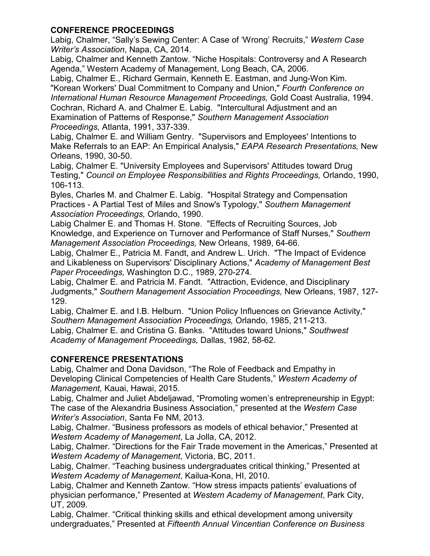## **CONFERENCE PROCEEDINGS**

Labig, Chalmer, "Sally's Sewing Center: A Case of 'Wrong' Recruits," *Western Case Writer's Association*, Napa, CA, 2014.

Labig, Chalmer and Kenneth Zantow. "Niche Hospitals: Controversy and A Research Agenda," Western Academy of Management, Long Beach, CA, 2006.

Labig, Chalmer E., Richard Germain, Kenneth E. Eastman, and Jung-Won Kim. "Korean Workers' Dual Commitment to Company and Union," *Fourth Conference on International Human Resource Management Proceedings,* Gold Coast Australia, 1994. Cochran, Richard A. and Chalmer E. Labig. "Intercultural Adjustment and an Examination of Patterns of Response," *Southern Management Association Proceedings,* Atlanta, 1991, 337-339.

Labig, Chalmer E. and William Gentry. "Supervisors and Employees' Intentions to Make Referrals to an EAP: An Empirical Analysis," *EAPA Research Presentations,* New Orleans, 1990, 30-50.

Labig, Chalmer E. "University Employees and Supervisors' Attitudes toward Drug Testing," *Council on Employee Responsibilities and Rights Proceedings,* Orlando, 1990, 106-113.

Byles, Charles M. and Chalmer E. Labig. "Hospital Strategy and Compensation Practices - A Partial Test of Miles and Snow's Typology," *Southern Management Association Proceedings,* Orlando, 1990.

Labig Chalmer E. and Thomas H. Stone. "Effects of Recruiting Sources, Job Knowledge, and Experience on Turnover and Performance of Staff Nurses," *Southern Management Association Proceedings,* New Orleans, 1989, 64-66.

Labig, Chalmer E., Patricia M. Fandt, and Andrew L. Urich. "The Impact of Evidence and Likableness on Supervisors' Disciplinary Actions," *Academy of Management Best Paper Proceedings,* Washington D.C., 1989, 270-274.

Labig, Chalmer E. and Patricia M. Fandt. "Attraction, Evidence, and Disciplinary Judgments," *Southern Management Association Proceedings,* New Orleans, 1987, 127- 129.

Labig, Chalmer E. and I.B. Helburn. "Union Policy Influences on Grievance Activity," *Southern Management Association Proceedings,* Orlando, 1985, 211-213. Labig, Chalmer E. and Cristina G. Banks. "Attitudes toward Unions," *Southwest Academy of Management Proceedings,* Dallas, 1982, 58-62.

# **CONFERENCE PRESENTATIONS**

Labig, Chalmer and Dona Davidson, "The Role of Feedback and Empathy in Developing Clinical Competencies of Health Care Students," *Western Academy of Management,* Kauai, Hawai, 2015.

Labig, Chalmer and Juliet Abdeljawad, "Promoting women's entrepreneurship in Egypt: The case of the Alexandria Business Association," presented at the *Western Case Writer's Association*, Santa Fe NM, 2013.

Labig, Chalmer. "Business professors as models of ethical behavior," Presented at *Western Academy of Management*, La Jolla, CA, 2012.

Labig, Chalmer. "Directions for the Fair Trade movement in the Americas," Presented at *Western Academy of Management*, Victoria, BC, 2011.

Labig, Chalmer. "Teaching business undergraduates critical thinking," Presented at *Western Academy of Management*, Kailua-Kona, HI, 2010.

Labig, Chalmer and Kenneth Zantow. "How stress impacts patients' evaluations of physician performance," Presented at *Western Academy of Management*, Park City, UT, 2009.

Labig, Chalmer. "Critical thinking skills and ethical development among university undergraduates," Presented at *Fifteenth Annual Vincentian Conference on Business*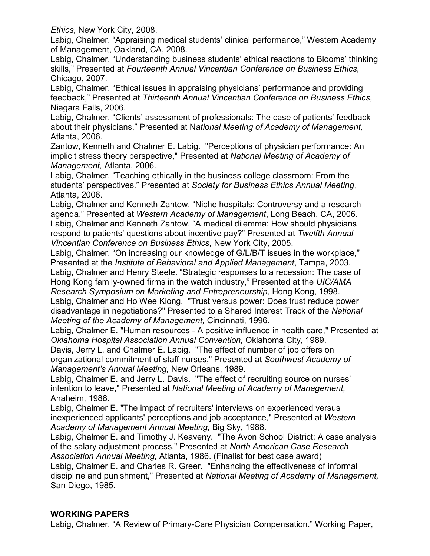*Ethics*, New York City, 2008.

Labig, Chalmer. "Appraising medical students' clinical performance," Western Academy of Management, Oakland, CA, 2008.

Labig, Chalmer. "Understanding business students' ethical reactions to Blooms' thinking skills," Presented at *Fourteenth Annual Vincentian Conference on Business Ethics*, Chicago, 2007.

Labig, Chalmer. "Ethical issues in appraising physicians' performance and providing feedback," Presented at *Thirteenth Annual Vincentian Conference on Business Ethics*, Niagara Falls, 2006.

Labig, Chalmer. "Clients' assessment of professionals: The case of patients' feedback about their physicians," Presented at N*ational Meeting of Academy of Management,*  Atlanta, 2006.

Zantow, Kenneth and Chalmer E. Labig. "Perceptions of physician performance: An implicit stress theory perspective," Presented at *National Meeting of Academy of Management,* Atlanta, 2006.

Labig, Chalmer. "Teaching ethically in the business college classroom: From the students' perspectives." Presented at *Society for Business Ethics Annual Meeting*, Atlanta, 2006.

Labig, Chalmer and Kenneth Zantow. "Niche hospitals: Controversy and a research agenda," Presented at *Western Academy of Management*, Long Beach, CA, 2006. Labig, Chalmer and Kenneth Zantow. "A medical dilemma: How should physicians respond to patients' questions about incentive pay?" Presented at *Twelfth Annual Vincentian Conference on Business Ethics*, New York City, 2005.

Labig, Chalmer. "On increasing our knowledge of G/L/B/T issues in the workplace," Presented at the *Institute of Behavioral and Applied Management*, Tampa, 2003.

Labig, Chalmer and Henry Steele. "Strategic responses to a recession: The case of Hong Kong family-owned firms in the watch industry," Presented at the *UIC/AMA Research Symposium on Marketing and Entrepreneurship*, Hong Kong, 1998. Labig, Chalmer and Ho Wee Kiong. "Trust versus power: Does trust reduce power disadvantage in negotiations?" Presented to a Shared Interest Track of the *National* 

*Meeting of the Academy of Management,* Cincinnati, 1996.

Labig, Chalmer E. "Human resources - A positive influence in health care," Presented at *Oklahoma Hospital Association Annual Convention,* Oklahoma City, 1989.

Davis, Jerry L. and Chalmer E. Labig. "The effect of number of job offers on organizational commitment of staff nurses," Presented at *Southwest Academy of Management's Annual Meeting,* New Orleans, 1989.

Labig, Chalmer E. and Jerry L. Davis. "The effect of recruiting source on nurses' intention to leave," Presented at *National Meeting of Academy of Management,*  Anaheim, 1988.

Labig, Chalmer E. "The impact of recruiters' interviews on experienced versus inexperienced applicants' perceptions and job acceptance," Presented at *Western Academy of Management Annual Meeting,* Big Sky, 1988.

Labig, Chalmer E. and Timothy J. Keaveny. "The Avon School District: A case analysis of the salary adjustment process," Presented at *North American Case Research Association Annual Meeting,* Atlanta, 1986. (Finalist for best case award)

Labig, Chalmer E. and Charles R. Greer. "Enhancing the effectiveness of informal discipline and punishment," Presented at *National Meeting of Academy of Management,*  San Diego, 1985.

## **WORKING PAPERS**

Labig, Chalmer. "A Review of Primary-Care Physician Compensation." Working Paper,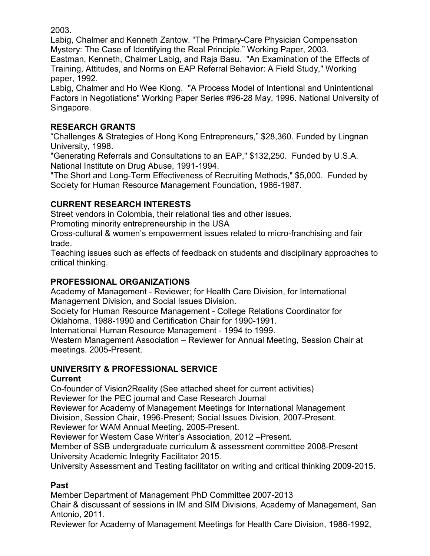2003.

Labig, Chalmer and Kenneth Zantow. "The Primary-Care Physician Compensation Mystery: The Case of Identifying the Real Principle." Working Paper, 2003.

Eastman, Kenneth, Chalmer Labig, and Raja Basu. "An Examination of the Effects of Training, Attitudes, and Norms on EAP Referral Behavior: A Field Study," Working paper, 1992.

Labig, Chalmer and Ho Wee Kiong. "A Process Model of Intentional and Unintentional Factors in Negotiations" Working Paper Series #96-28 May, 1996. National University of Singapore.

# **RESEARCH GRANTS**

"Challenges & Strategies of Hong Kong Entrepreneurs," \$28,360. Funded by Lingnan University, 1998.

"Generating Referrals and Consultations to an EAP," \$132,250. Funded by U.S.A. National Institute on Drug Abuse, 1991-1994.

"The Short and Long-Term Effectiveness of Recruiting Methods," \$5,000. Funded by Society for Human Resource Management Foundation, 1986-1987.

## **CURRENT RESEARCH INTERESTS**

Street vendors in Colombia, their relational ties and other issues.

Promoting minority entrepreneurship in the USA

Cross-cultural & women's empowerment issues related to micro-franchising and fair trade.

Teaching issues such as effects of feedback on students and disciplinary approaches to critical thinking.

# **PROFESSIONAL ORGANIZATIONS**

Academy of Management - Reviewer; for Health Care Division, for International Management Division, and Social Issues Division.

Society for Human Resource Management - College Relations Coordinator for Oklahoma, 1988-1990 and Certification Chair for 1990-1991.

International Human Resource Management - 1994 to 1999.

Western Management Association – Reviewer for Annual Meeting, Session Chair at meetings. 2005-Present.

# **UNIVERSITY & PROFESSIONAL SERVICE**

## **Current**

Co-founder of Vision2Reality (See attached sheet for current activities)

Reviewer for the PEC journal and Case Research Journal

Reviewer for Academy of Management Meetings for International Management Division, Session Chair, 1996-Present; Social Issues Division, 2007-Present.

Reviewer for WAM Annual Meeting, 2005-Present.

Reviewer for Western Case Writer's Association, 2012 –Present.

Member of SSB undergraduate curriculum & assessment committee 2008-Present University Academic Integrity Facilitator 2015.

University Assessment and Testing facilitator on writing and critical thinking 2009-2015.

# **Past**

Member Department of Management PhD Committee 2007-2013

Chair & discussant of sessions in IM and SIM Divisions, Academy of Management, San Antonio, 2011.

Reviewer for Academy of Management Meetings for Health Care Division, 1986-1992,